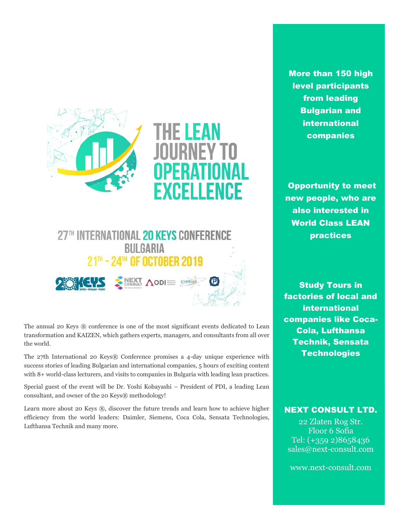



The annual 20 Keys ® conference is one of the most significant events dedicated to Lean transformation and KAIZEN, which gathers experts, managers, and consultants from all over the world.

The 27th International 20 Keys® Conference promises a 4-day unique experience with success stories of leading Bulgarian and international companies, 5 hours of exciting content with 8+ world-class lecturers, and visits to companies in Bulgaria with leading lean practices.

Special guest of the event will be Dr. Yoshi Kobayashi – President of PDI, a leading Lean consultant, and owner of the 20 Keys® methodology!

Learn more about 20 Keys ®, discover the future trends and learn how to achieve higher efficiency from the world leaders: Daimler, Siemens, Coca Cola, Sensata Technologies, Lufthansa Technik and many more.

More than 150 high level participants from leading Bulgarian and international companies

Opportunity to meet new people, who are also interested in World Class LEAN practices

Study Tours in factories of local and international companies like Coca-Cola, Lufthansa Technik, Sensata **Technologies** 

#### NEXT CONSULT LTD.

22 Zlaten Rog Str. Floor 6 Sofia Tel: (+359 2)8658436 [sales@next-consult.com](mailto:sales@next-consult.com)

[www.next-consult.com](http://www.next-consult.com/)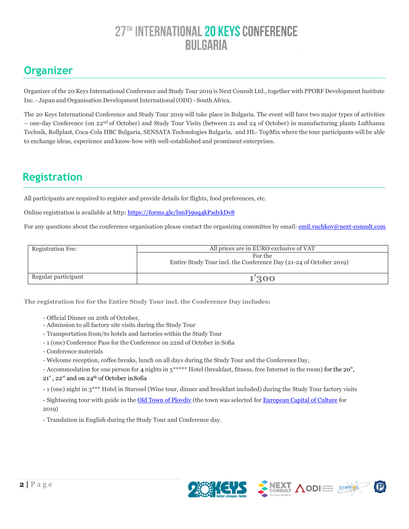### **Оrganizer**

Organizer of the 20 Keys International Conference and Study Tour 2019 is Next Consult Ltd., together with PPORF Development Institute Inc. - Japan and Organisation Development International (ODI) - South Africa.

The 20 Keys International Conference and Study Tour 2019 will take place in Bulgaria. The event will have two major types of activities – one-day Conference (on 22<sup>nd</sup> of October) and Study Tour Visits (between 21 and 24 of October) in manufacturing plants Lufthansa Technik, Rollplast, Coca-Cola HBC Bulgaria, SENSATA Technologies Bulgaria, and HL- TopMix where the tour participants will be able to exchange ideas, experience and know-how with well-established and prominent enterprises.

### **Registration**

All participants are required to register and provide details for flights, food preferences, etc.

Online registration is available at http:<https://forms.gle/bmFj9uq4kPadykDv8>

For any questions about the conference organization please contact the organizing committee by email: [emil.vuchkov@next-consult.com](mailto:emil.vuchkov@next-consult.com)

| <b>Registration Fee:</b> | All prices are in EURO exclusive of VAT                                       |  |
|--------------------------|-------------------------------------------------------------------------------|--|
|                          | For the<br>Entire Study Tour incl. the Conference Day (21-24 of October 2019) |  |
| Regular participant      | 1'300                                                                         |  |

**The registration fee for the Entire Study Tour incl. the Conference Day includes:**

- Official Dinner on 20th of October,
- Admission to all factory site visits during the Study Tour
- Transportation from/to hotels and factories within the Study Tour
- 1 (one) Conference Pass for the Conference on 22nd of October in Sofia
- Conference materials

- Welcome reception, coffee breaks, lunch on all days during the Study Tour and the ConferenceDay,

- Accommodation for one person for 4 nights in  $5^{***}$  Hotel (breakfast, fitness, free Internet in the room) for the 20<sup>th</sup>, 21st, 22<sup>nd</sup> and on 24<sup>th</sup> of October in Sofia

- 1 (one) night in 3\*\*\* Hotel in Starosel (Wine tour, dinner and breakfast included) during the Study Tour factory visits

- Sightseeing tour with guide in th[e Old Town of Plovdiv](http://oldplovdiv.com/en/) (the town was selected for [European Capital of Culture](https://plovdiv2019.eu/en) for 2019)

- Translation in English during the Study Tour and Conference day.



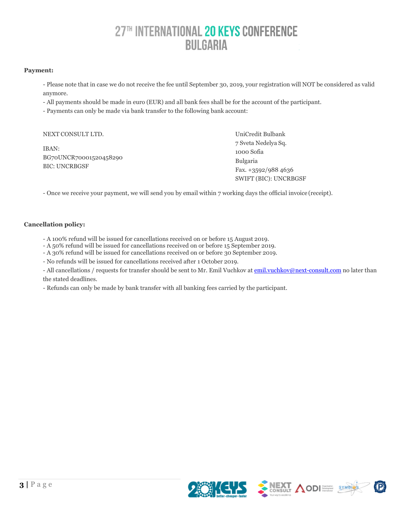#### **Payment:**

- Please note that in case we do not receive the fee until September 30, 2019, your registration will NOT be considered as valid anymore.

- All payments should be made in euro (EUR) and all bank fees shall be for the account of the participant.
- Payments can only be made via bank transfer to the following bank account:

| NEXT CONSULT LTD.      | UniCredit Bulbank     |
|------------------------|-----------------------|
|                        | 7 Sveta Nedelya Sq.   |
| IBAN:                  | 1000 Sofia            |
| BG70UNCR70001520458290 | <b>Bulgaria</b>       |
| <b>BIC: UNCRBGSF</b>   | Fax. $+3592/9884636$  |
|                        | SWIFT (BIC): UNCRBGSF |

- Once we receive your payment, we will send you by email within 7 working days the official invoice (receipt).

#### **Cancellation policy:**

- A 100% refund will be issued for cancellations received on or before 15 August 2019.
- A 50% refund will be issued for cancellations received on or before 15 September 2019.
- A 30% refund will be issued for cancellations received on or before 30 September 2019.
- No refunds will be issued for cancellations received after 1 October 2019.

- All cancellations / requests for transfer should be sent to Mr. Emil Vuchkov at **[emil.vuchkov@next-consult.com](mailto:emil.vuchkov@next-consult.com)** no later than the stated deadlines.

- Refunds can only be made by bank transfer with all banking fees carried by the participant.

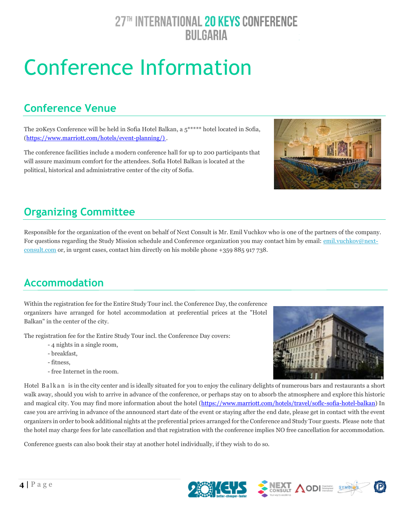# Conference Information

### **Conference Venue**

The 20Keys Conference will be held in Sofia Hotel Balkan, a 5\*\*\*\*\* hotel located in Sofia, [\(https://www.marriott.com/hotels/event-planning/\)](https://www.marriott.com/hotels/event-planning/business-meeting/soflc-sofia-hotel-balkan-a-luxury-collection-hotel-sofia/) .

The conference facilities include a modern conference hall for up to 200 participants that will assure maximum comfort for the attendees. Sofia Hotel Balkan is located at the political, historical and administrative center of the city of Sofia.



### **Organizing Committee**

Responsible for the organization of the event on behalf of Next Consult is Mr. Emil Vuchkov who is one of the partners of the company. For questions regarding the Study Mission schedule and Conference organization you may contact him by email: [emil.vuchkov@next](mailto:peter.milenkov@next-consult.com)[consult.com](mailto:peter.milenkov@next-consult.com) or, in urgent cases, contact him directly on his mobile phone +359 885 917 738.

### **Accommodation**

Within the registration fee for the Entire Study Tour incl. the Conference Day, the conference organizers have arranged for hotel accommodation at preferential prices at the "Hotel Balkan" in the center of the city.

The registration fee for the Entire Study Tour incl. the Conference Day covers:

- 4 nights in a single room,
- breakfast,
- fitness,
- free Internet in the room.



Hotel Balkan is in the city center and is ideally situated for you to enjoy the culinary delights of numerous bars and restaurants a short walk away, should you wish to arrive in advance of the conference, or perhaps stay on to absorb the atmosphere and explore this historic and magical city. You may find more information about the hotel [\(https://www.marriott.com/hotels/travel/soflc-sofia-hotel-balkan\)](https://www.marriott.com/hotels/travel/soflc-sofia-hotel-balkan-a-luxury-collection-hotel-sofia/) In case you are arriving in advance of the announced start date of the event or staying after the end date, please get in contact with the event organizers in order to book additional nights at the preferential prices arranged for the Conference and Study Tour guests. Please note that the hotel may charge fees for late cancellation and that registration with the conference implies NO free cancellation for accommodation.

Conference guests can also book their stay at another hotel individually, if they wish to do so.

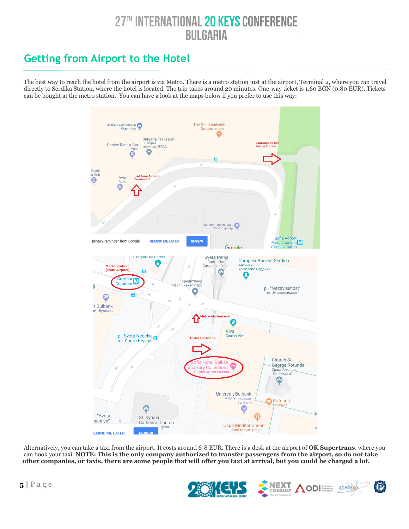### **Getting from Airport to the Hotel**

 The best way to reach the hotel from the airport is via Metro. There is a metro station just at the airport, Terminal 2, where you can travel directly to Serdika Station, where the hotel is located. The trip takes around 20 minutes. One-way ticket is 1.60 BGN (0.80 EUR). Tickets can be bought at the metro station. You can have a look at the maps below if you prefer to use this way:



 Alternatively, you can take a taxi from the airport. It costs around 6-8 EUR. There is a desk at the airport of **OK Supertrans**. where you can book your taxi. **NOTE: This is the only company authorized to transfer passengers from the airport, so do not take other companies, or taxis, there are some people that will offer you taxi at arrival, but you could be charged a lot.** 

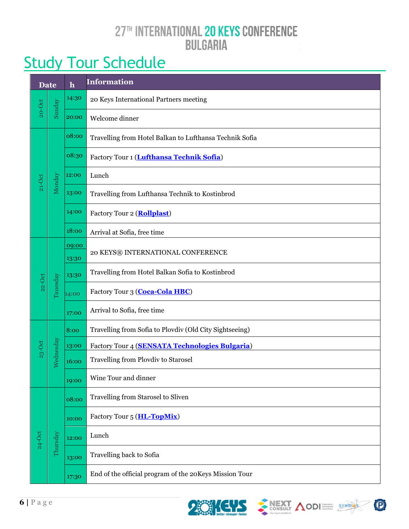#### 27TH INTERNATIONAL 20 KEYS CONFERENCE **BULGARIA**  $\bar{\psi}$

# **Study Tour Schedule**

| <b>Date</b> |           | $\mathbf h$    | <b>Information</b>                                      |  |  |
|-------------|-----------|----------------|---------------------------------------------------------|--|--|
|             |           | 14:30          | 20 Keys International Partners meeting                  |  |  |
| $20 - Oct$  | Sunday    | 20:00          | Welcome dinner                                          |  |  |
| $21-0$ ct   | Monday    | 08:00          | Travelling from Hotel Balkan to Lufthansa Technik Sofia |  |  |
|             |           | 08:30          | Factory Tour 1 (Lufthansa Technik Sofia)                |  |  |
|             |           | 12:00          | Lunch                                                   |  |  |
|             |           | 13:00          | Travelling from Lufthansa Technik to Kostinbrod         |  |  |
|             |           | 14:00          | Factory Tour 2 ( <b>Rollplast</b> )                     |  |  |
|             |           | 18:00          | Arrival at Sofia, free time                             |  |  |
|             |           | 09:00<br>13:30 | 20 KEYS® INTERNATIONAL CONFERENCE                       |  |  |
| $22-0$ ct   | Tuuesday  | 13:30          | Travelling from Hotel Balkan Sofia to Kostinbrod        |  |  |
|             |           | 14:00          | Factory Tour 3 (Coca-Cola HBC)                          |  |  |
|             |           | 17:00          | Arrival to Sofia, free time                             |  |  |
|             | Wednesday | 8:00           | Travelling from Sofia to Plovdiv (Old City Sightseeing) |  |  |
| $23-Ort$    |           | 13:00          | Factory Tour 4 (SENSATA Technologies Bulgaria)          |  |  |
|             |           | 16:00          | Travelling from Plovdiv to Starosel                     |  |  |
|             |           | 19:00          | Wine Tour and dinner                                    |  |  |
|             | Thursday  | 08:00          | Travelling from Starosel to Sliven                      |  |  |
|             |           | 10:00          | Factory Tour 5 (HL-TopMix)                              |  |  |
| $24-0ct$    |           | 12:00          | Lunch                                                   |  |  |
|             |           | 13:00          | Travelling back to Sofia                                |  |  |
|             |           | 17:30          | End of the official program of the 20Keys Mission Tour  |  |  |







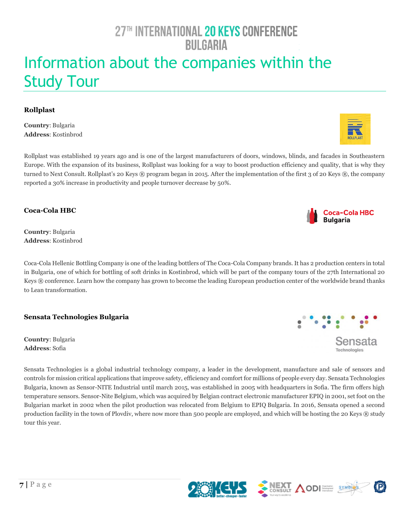# Information about the companies within the Study Tour

#### <span id="page-6-0"></span>**Rollplast**

**Country**: Bulgaria **Address**: Kostinbrod

Rollplast was established 19 years ago and is one of the largest manufacturers of doors, windows, blinds, and facades in Southeastern Europe. With the expansion of its business, Rollplast was looking for a way to boost production efficiency and quality, that is why they turned to Next Consult. Rollplast's 20 Keys ® program began in 2015. After the implementation of the first 3 of 20 Keys ®, the company reported a 30% increase in productivity and people turnover decrease by 50%.

<span id="page-6-1"></span>**Coca-Cola HBC**

**Country**: Bulgaria **Address**: Kostinbrod

Coca-Cola Hellenic Bottling Company is one of the leading bottlers of The Coca-Cola Company brands. It has 2 production centers in total in Bulgaria, one of which for bottling of soft drinks in Kostinbrod, which will be part of the company tours of the 27th International 20 Keys ® conference. Learn how the company has grown to become the leading European production center of the worldwide brand thanks to Lean transformation.

<span id="page-6-2"></span>**Sensata Technologies Bulgaria** 

**Country**: Bulgaria **Address**: Sofia

Sensata Technologies is a global industrial technology company, a leader in the development, manufacture and sale of sensors and controls for mission critical applications that improve safety, efficiency and comfort for millions of people every day. Sensata Technologies Bulgaria, known as Sensor-NITE Industrial until march 2015, was established in 2005 with headquarters in Sofia. The firm offers high temperature sensors. Sensor-Nite Belgium, which was acquired by Belgian contract electronic manufacturer EPIQ in 2001, set foot on the Bulgarian market in 2002 when the pilot production was relocated from Belgium to EPIQ Bulgaria. In 2016, Sensata opened a second production facility in the town of Plovdiv, where now more than 500 people are employed, and which will be hosting the 20 Keys ® study tour this year.









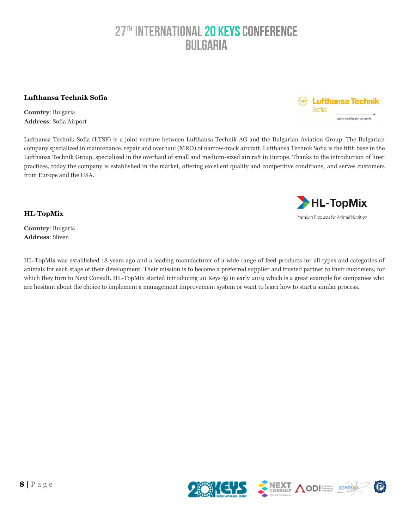#### <span id="page-7-0"></span>**Lufthansa Technik Sofia**

**Country**: Bulgaria **Address**: Sofia Airport

Lufthansa Technik Sofia (LTSF) is a joint venture between Lufthansa Technik AG and the Bulgarian Aviation Group. The Bulgarian company specialized in maintenance, repair and overhaul (MRO) of narrow-track aircraft. Lufthansa Technik Sofia is the fifth base in the Lufthansa Technik Group, specialized in the overhaul of small and medium-sized aircraft in Europe. Thanks to the introduction of liner practices, today the company is established in the market, offering excellent quality and competitive conditions, and serves customers from Europe and the USA.

<span id="page-7-1"></span>**HL-TopMix**

**Country**: Bulgaria **Address**: Sliven

HL-TopMix was established 18 years ago and a leading manufacturer of a wide range of feed products for all types and categories of animals for each stage of their development. Their mission is to become a preferred supplier and trusted partner to their customers, for which they turn to Next Consult. HL-TopMix started introducing 20 Keys ® in early 2019 which is a great example for companies who are hesitant about the choice to implement a management improvement system or want to learn how to start a similar process.





 $\odot$  Lufthansa Technik

More mobility for the world

Sofia

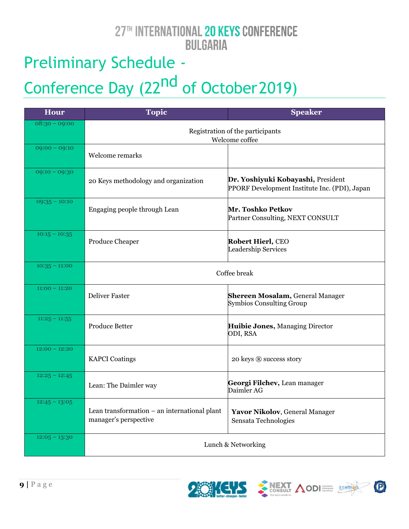# Preliminary Schedule - Conference Day (22<sup>nd</sup> of October 2019)

| <b>Hour</b>     | <b>Topic</b>                                                          | <b>Speaker</b>                                                                      |  |
|-----------------|-----------------------------------------------------------------------|-------------------------------------------------------------------------------------|--|
| $08:30 - 09:00$ | Registration of the participants<br>Welcome coffee                    |                                                                                     |  |
| $09:00 - 09:10$ | Welcome remarks                                                       |                                                                                     |  |
| $09:10 - 09:30$ | 20 Keys methodology and organization                                  | Dr. Yoshiyuki Kobayashi, President<br>PPORF Development Institute Inc. (PDI), Japan |  |
| $09:35 - 10:10$ | Engaging people through Lean                                          | Mr. Toshko Petkov<br>Partner Consulting, NEXT CONSULT                               |  |
| $10:15 - 10:35$ | Produce Cheaper                                                       | Robert Hierl, CEO<br>Leadership Services                                            |  |
| $10:35 - 11:00$ | Coffee break                                                          |                                                                                     |  |
| $11:00 - 11:20$ | <b>Deliver Faster</b>                                                 | <b>Shereen Mosalam, General Manager</b><br><b>Symbios Consulting Group</b>          |  |
| $11:25 - 11:55$ | <b>Produce Better</b>                                                 | <b>Huibie Jones, Managing Director</b><br>ODI, RSA                                  |  |
| $12:00 - 12:20$ | <b>KAPCI</b> Coatings                                                 | 20 keys ® success story                                                             |  |
| $12:25 - 12:45$ | Lean: The Daimler way                                                 | Georgi Filchev, Lean manager<br>Daimler AG                                          |  |
| $12:45 - 13:05$ | Lean transformation – an international plant<br>manager's perspective | Yavor Nikolov, General Manager<br>Sensata Technologies                              |  |
| $12:05 - 13:30$ | Lunch & Networking                                                    |                                                                                     |  |





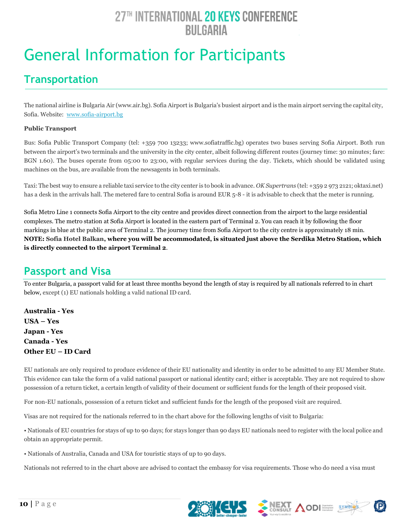# General Information for Participants

### **Transportation**

The national airline is Bulgaria Air [\(www.air.bg\)](http://www.air.bg/). Sofia Airport is Bulgaria's busiest airport and is the main airport serving the capital city, Sofia. Website: [www.sofia-airport.bg](http://www.sofia-airport.bg/)

#### **Public Transport**

Bus: Sofia Public Transport Company (tel: +359 700 13233; www.sofiatraffic.bg) operates two buses serving Sofia Airport. Both run between the airport's two terminals and the university in the city center, albeit following different routes (journey time: 30 minutes; fare: BGN 1.60). The buses operate from 05:00 to 23:00, with regular services during the day. Tickets, which should be validated using machines on the bus, are available from the newsagents in both terminals.

Taxi: The best way to ensure a reliable taxi service to the city center is to book in advance. *OK Supertrans* (tel: +359 2 973 2121; oktaxi.net) has a desk in the arrivals hall. The metered fare to central Sofia is around EUR 5-8 - it is advisable to check that the meter is running.

Sofia Metro Line 1 connects Sofia Airport to the city centre and provides direct connection from the airport to the large residential complexes. The metro station at Sofia Airport is located in the eastern part of Terminal 2. You can reach it by following the floor markings in blue at the public area of Terminal 2. The journey time from Sofia Airport to the city centre is approximately 18 min.  **NOTE: Sofia Hotel Balkan, where you will be accommodated, is situated just above the Serdika Metro Station, which is directly connected to the airport Terminal 2**.

### **Passport and Visa**

To enter Bulgaria, a passport valid for at least three months beyond the length of stay is required by all nationals referred to in chart below, except (1) EU nationals holding a valid national ID card.

**Australia - Yes USA – Yes Japan - Yes Canada - Yes Other EU – ID Card**

EU nationals are only required to produce evidence of their EU nationality and identity in order to be admitted to any EU Member State. This evidence can take the form of a valid national passport or national identity card; either is acceptable. They are not required to show possession of a return ticket, a certain length of validity of their document or sufficient funds for the length of their proposed visit.

For non-EU nationals, possession of a return ticket and sufficient funds for the length of the proposed visit are required.

Visas are not required for the nationals referred to in the chart above for the following lengths of visit to Bulgaria:

• Nationals of EU countries for stays of up to 90 days; for stays longer than 90 days EU nationals need to register with the local police and obtain an appropriate permit.

• Nationals of Australia, Canada and USA for touristic stays of up to 90 days.

Nationals not referred to in the chart above are advised to contact the embassy for visa requirements. Those who do need a visa must